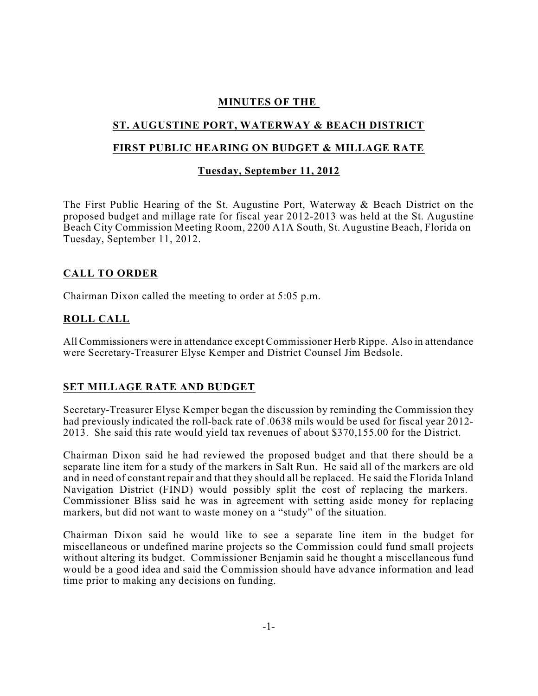## **MINUTES OF THE**

# **ST. AUGUSTINE PORT, WATERWAY & BEACH DISTRICT**

## **FIRST PUBLIC HEARING ON BUDGET & MILLAGE RATE**

### **Tuesday, September 11, 2012**

The First Public Hearing of the St. Augustine Port, Waterway & Beach District on the proposed budget and millage rate for fiscal year 2012-2013 was held at the St. Augustine Beach City Commission Meeting Room, 2200 A1A South, St. Augustine Beach, Florida on Tuesday, September 11, 2012.

## **CALL TO ORDER**

Chairman Dixon called the meeting to order at 5:05 p.m.

## **ROLL CALL**

All Commissioners were in attendance except Commissioner Herb Rippe. Also in attendance were Secretary-Treasurer Elyse Kemper and District Counsel Jim Bedsole.

## **SET MILLAGE RATE AND BUDGET**

Secretary-Treasurer Elyse Kemper began the discussion by reminding the Commission they had previously indicated the roll-back rate of .0638 mils would be used for fiscal year 2012- 2013. She said this rate would yield tax revenues of about \$370,155.00 for the District.

Chairman Dixon said he had reviewed the proposed budget and that there should be a separate line item for a study of the markers in Salt Run. He said all of the markers are old and in need of constant repair and that they should all be replaced. He said the Florida Inland Navigation District (FIND) would possibly split the cost of replacing the markers. Commissioner Bliss said he was in agreement with setting aside money for replacing markers, but did not want to waste money on a "study" of the situation.

Chairman Dixon said he would like to see a separate line item in the budget for miscellaneous or undefined marine projects so the Commission could fund small projects without altering its budget. Commissioner Benjamin said he thought a miscellaneous fund would be a good idea and said the Commission should have advance information and lead time prior to making any decisions on funding.